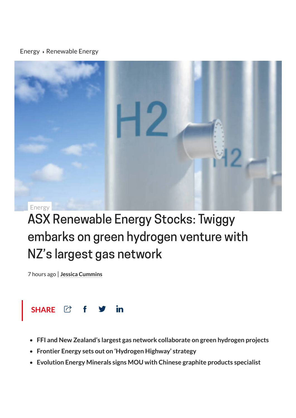#### [Energy](https://stockhead.com.au/category/energy) > [Renewable](https://stockhead.com.au/topic/renewable-energy/) Energy



# ASX Renewable Energy Stocks: Twiggy embarks on green hydrogen venture with NZ's largest gas network

7 hours ago | **Jessica [Cummins](https://stockhead.com.au/author/jessica-cummins/)**



- **FFI and New Zealand's largest gas network collaborate on green hydrogen projects**
- **Frontier Energy sets out on 'Hydrogen Highway' strategy**
- **Evolution Energy Minerals signs MOU with Chinese graphite products specialist**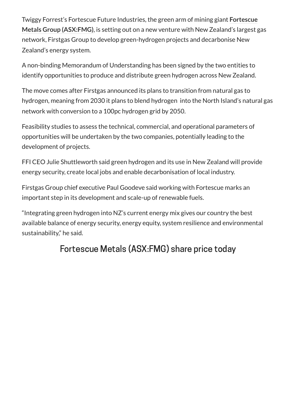Twiggy Forrest's Fortescue Future Industries, the green arm of mining giant **Fortescue Metals Group [\(ASX:FMG\)](https://stockhead.com.au/company/fortescue-metals-group-fmg/)**, is setting out on a new venture with New Zealand's largest gas network, Firstgas Group to develop green-hydrogen projects and decarbonise New Zealand's energy system.

A non-binding Memorandum of Understanding has been signed by the two entities to identify opportunities to produce and distribute green hydrogen across New Zealand.

The move comes after Firstgas announced its plans to transition from natural gas to hydrogen, meaning from 2030 it plans to blend hydrogen into the North Island's natural gas network with conversion to a 100pc hydrogen grid by 2050.

Feasibility studies to assess the technical, commercial, and operational parameters of opportunities will be undertaken by the two companies, potentially leading to the development of projects.

FFI CEO Julie Shuttleworth said green hydrogen and its use in New Zealand will provide energy security, create local jobs and enable decarbonisation of local industry.

Firstgas Group chief executive Paul Goodeve said working with Fortescue marks an important step in its development and scale-up of renewable fuels.

"Integrating green hydrogen into NZ's current energy mix gives our country the best available balance of energy security, energy equity, system resilience and environmental sustainability," he said.

### Fortescue Metals (ASX:FMG) share price today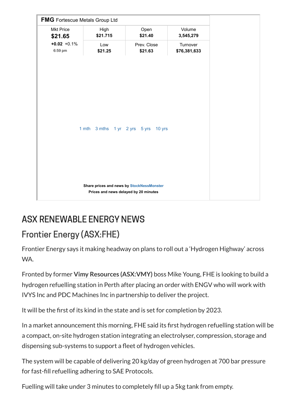

### ASX RENEWABLE ENERGY NEWS

### Frontier Energy [\(ASX:FHE\)](https://stockhead.com.au/company/frontier-energy-fhe/)

Frontier Energy says it making headway on plans to roll out a 'Hydrogen Highway' across WA.

Fronted by former **Vimy Resources [\(ASX:VMY\)](https://stockhead.com.au/company/vimy-resources-vmy/)** boss Mike Young, FHE is looking to build a hydrogen refuelling station in Perth after placing an order with ENGV who will work with IVYS Inc and PDC Machines Inc in partnership to deliver the project.

It will be the first of its kind in the state and is set for completion by 2023.

In a market announcement this morning, FHE said its first hydrogen refuelling station will be a compact, on-site hydrogen station integrating an electrolyser, compression, storage and dispensing sub-systems to support a fleet of hydrogen vehicles.

The system will be capable of delivering 20 kg/day of green hydrogen at 700 bar pressure for fast-fill refuelling adhering to SAE Protocols.

Fuelling will take under 3 minutes to completely fill up a 5kg tank from empty.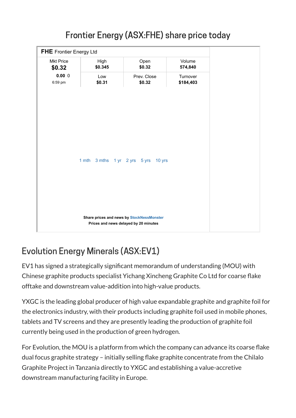

# Frontier Energy (ASX:FHE) share price today

## Evolution Energy Minerals [\(ASX:EV1\)](https://stockhead.com.au/company/evolution-energy-minerals-ev1/)

EV1 has signed a strategically significant memorandum of understanding (MOU) with Chinese graphite products specialist Yichang Xincheng Graphite Co Ltd for coarse flake offtake and downstream value-addition into high-value products.

YXGC is the leading global producer of high value expandable graphite and graphite foil for the electronics industry, with their products including graphite foil used in mobile phones, tablets and TV screens and they are presently leading the production of graphite foil currently being used in the production of green hydrogen.

For Evolution, the MOU is a platform from which the company can advance its coarse flake dual focus graphite strategy – initially selling flake graphite concentrate from the Chilalo Graphite Project in Tanzania directly to YXGC and establishing a value-accretive downstream manufacturing facility in Europe.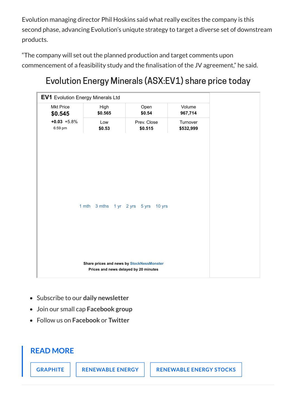Evolution managing director Phil Hoskins said what really excites the company is this second phase, advancing Evolution's uniqute strategy to target a diverse set of downstream products.

"The company will set out the planned production and target comments upon commencement of a feasibility study and the finalisation of the JV agreement," he said.

### Evolution Energy Minerals (ASX:EV1) share price today

| <b>EV1</b> Evolution Energy Minerals Ltd                                           |                 |                        |                       |
|------------------------------------------------------------------------------------|-----------------|------------------------|-----------------------|
| <b>Mkt Price</b><br>\$0.545                                                        | High<br>\$0.565 | Open<br>\$0.54         | Volume<br>967,714     |
| $+0.03 +5.8%$<br>6:59 pm                                                           | Low<br>\$0.53   | Prev. Close<br>\$0.515 | Turnover<br>\$532,999 |
|                                                                                    |                 |                        |                       |
|                                                                                    |                 |                        |                       |
| 1 mth<br>3 mths 1 yr 2 yrs 5 yrs 10 yrs                                            |                 |                        |                       |
|                                                                                    |                 |                        |                       |
|                                                                                    |                 |                        |                       |
| Share prices and news by StockNessMonster<br>Prices and news delayed by 20 minutes |                 |                        |                       |

- Subscribe to our **daily [newsletter](https://stockhead.com.au/subscription/)**
- Join our small cap **[Facebook](https://www.facebook.com/groups/Stockhead/) group**
- Follow us on **[Facebook](https://www.facebook.com/StockheadAU)** or **[Twitter](https://twitter.com/StockheadAU)**

#### **READ MORE**

**[GRAPHITE](https://stockhead.com.au/topic/graphite/) [RENEWABLE](https://stockhead.com.au/topic/renewable-energy/) ENERGY [RENEWABLE](https://stockhead.com.au/topic/renewable-energy-stocks/) ENERGY STOCKS**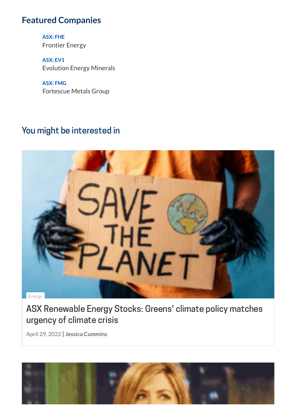### **Featured Companies**

**ASX: FHE** [Frontier](https://stockhead.com.au/company/frontier-energy-fhe/) Energy

**ASX: EV1** [Evolution](https://stockhead.com.au/company/evolution-energy-minerals-ev1/) Energy Minerals

**ASX: FMG** [Fortescue](https://stockhead.com.au/company/fortescue-metals-group-fmg/) Metals Group

### You might be interested in



ASX [Renewable](https://stockhead.com.au/energy/asx-renewable-energy-stocks-greens-climate-policy-matches-urgency-of-climate-crisis/) Energy Stocks: Greens' climate policy matches urgency of climate crisis

April 29, 2022 | **Jessica [Cummins](https://stockhead.com.au/author/jessica-cummins/)**

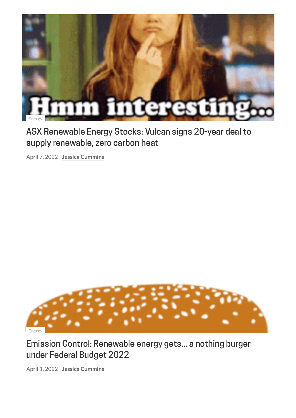

### ASX [Renewable](https://stockhead.com.au/energy/asx-renewable-energy-stocks-vulcan-executes-agreement-to-supply-renewable-zero-carbon-heat/) Energy Stocks: Vulcan signs 20-year deal to supply renewable, zero carbon heat

April 7, 2022 | **Jessica [Cummins](https://stockhead.com.au/author/jessica-cummins/)**



### Emission Control: [Renewable](https://stockhead.com.au/energy/emission-control-renewable-energy-gets-a-nothing-burger-under-federal-budget-2022/) energy gets... a nothing burger under Federal Budget 2022

April 1, 2022 | **Jessica [Cummins](https://stockhead.com.au/author/jessica-cummins/)**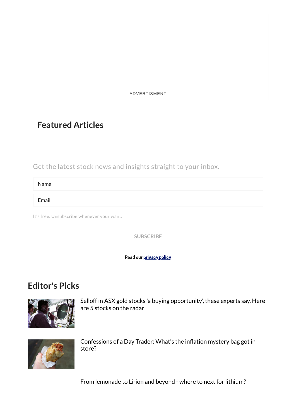ADVERTISMENT

### **Featured Articles**

Get the latest stock news and insights straight to your inbox.

Name

Email

It's free. Unsubscribe whenever your want.

**SUBSCRIBE**

Read our [privacy](https://stockhead.com.au/privacy-policy) policy

### **Editor's Picks**



Selloff in ASX gold stocks 'a buying [opportunity',](https://stockhead.com.au/experts/selloff-in-asx-gold-stocks-presents-a-buying-opportunity-these-experts-say-here-are-5-stocks-on-the-radar/) these experts say. Here are 5 stocks on the radar



[Confessions](https://stockhead.com.au/news/confessions-of-a-day-trader-whats-the-inflation-mystery-bag-got-in-store/) of a Day Trader: What's the inflation mystery bag got in store?

From lemonade to Li-ion [and beyond -](https://stockhead.com.au/resources/from-lemonade-to-li-ion-and-beyond-where-to-next-for-lithium/) where to next for lithium?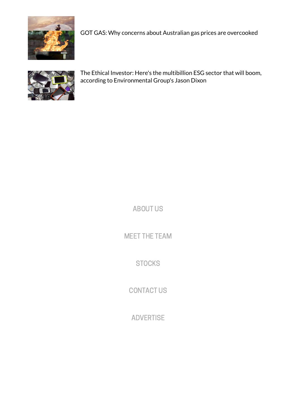

GOT GAS: Why concerns about Australian gas prices are [overcooked](https://stockhead.com.au/resources/from-lemonade-to-li-ion-and-beyond-where-to-next-for-lithium/)



The Ethical Investor: Here's the multibillion ESG sector that will boom, according to [Environmental](https://stockhead.com.au/news/the-ethical-investor-heres-the-multibillion-esg-sector-that-will-boom-according-to-environmental-groups-jason-dixon/) Group's Jason Dixon

[ABOUT](https://stockhead.com.au/about-us) US

MEET THE [TEAM](https://stockhead.com.au/meet-the-stockheads)

**[STOCKS](https://stockhead.com.au/stocks)** 

[CONTACT](https://stockhead.com.au/contact-us) US

[ADVERTISE](https://stockhead.com.au/advertise-with-us)